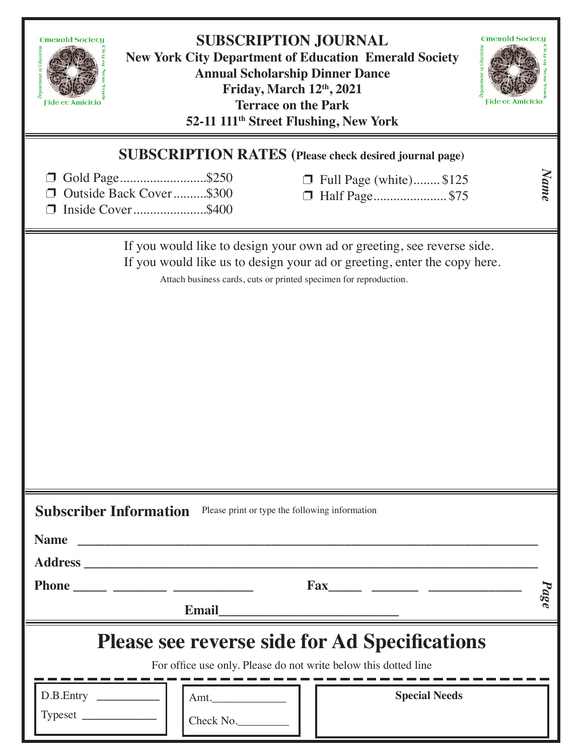| <b>SUBSCRIPTION JOURNAL</b><br><b>Emerald Sociecy</b><br><b>Emerald Society</b><br>eparement of Education<br><b>New York City Department of Education Emerald Society</b><br><b>Annual Scholarship Dinner Dance</b><br>Friday, March 12th, 2021<br>Fide eτ Amiciτiα<br>Fide eτ Amiciτiα<br><b>Terrace on the Park</b><br>52-11 111 <sup>th</sup> Street Flushing, New York |                                                  |
|----------------------------------------------------------------------------------------------------------------------------------------------------------------------------------------------------------------------------------------------------------------------------------------------------------------------------------------------------------------------------|--------------------------------------------------|
| <b>SUBSCRIPTION RATES</b> (Please check desired journal page)<br>Gold Page\$250<br>Outside Back Cover\$300<br>$\Box$                                                                                                                                                                                                                                                       | Name<br>Full Page (white) \$125<br>Half Page\$75 |
| Inside Cover\$400                                                                                                                                                                                                                                                                                                                                                          |                                                  |
| If you would like to design your own ad or greeting, see reverse side.<br>If you would like us to design your ad or greeting, enter the copy here.<br>Attach business cards, cuts or printed specimen for reproduction.                                                                                                                                                    |                                                  |
| <b>Subscriber Information</b><br>Please print or type the following information                                                                                                                                                                                                                                                                                            |                                                  |
| <b>Name</b>                                                                                                                                                                                                                                                                                                                                                                |                                                  |
|                                                                                                                                                                                                                                                                                                                                                                            | $p_{age}$                                        |
| <b>Email</b>                                                                                                                                                                                                                                                                                                                                                               |                                                  |
| <b>Please see reverse side for Ad Specifications</b><br>For office use only. Please do not write below this dotted line                                                                                                                                                                                                                                                    |                                                  |
| D.B.Entry<br>Check No.                                                                                                                                                                                                                                                                                                                                                     | <b>Special Needs</b>                             |